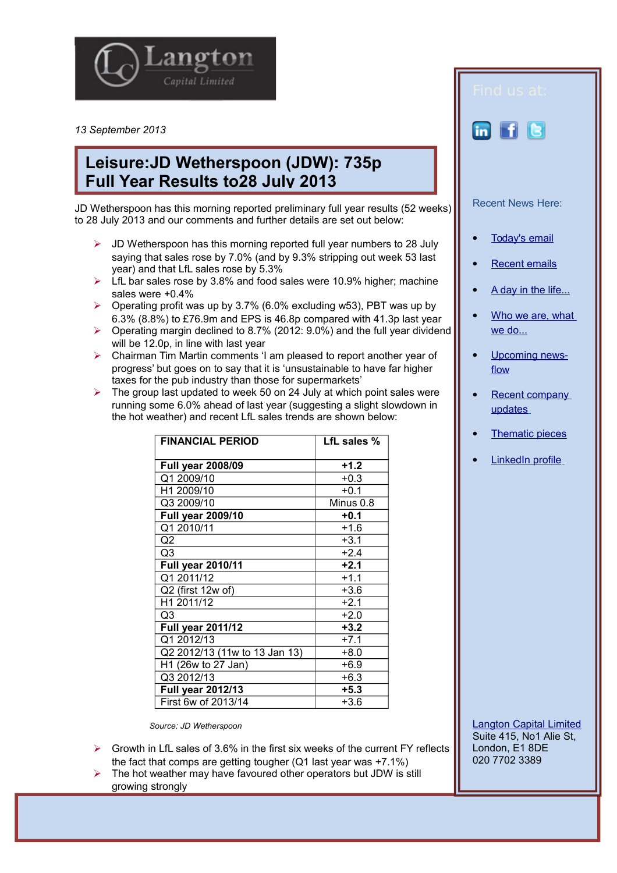

*13 September 2013*

## **Leisure:JD Wetherspoon (JDW): 735p Full Year Results to28 July 2013**

JD Wetherspoon has this morning reported preliminary full year results (52 weeks) to 28 July 2013 and our comments and further details are set out below:

- $\triangleright$  JD Wetherspoon has this morning reported full year numbers to 28 July saying that sales rose by 7.0% (and by 9.3% stripping out week 53 last year) and that LfL sales rose by 5.3%
- $\triangleright$  LfL bar sales rose by 3.8% and food sales were 10.9% higher; machine sales were +0.4%
- $\triangleright$  Operating profit was up by 3.7% (6.0% excluding w53), PBT was up by 6.3% (8.8%) to £76.9m and EPS is 46.8p compared with 41.3p last year
- $\triangleright$  Operating margin declined to 8.7% (2012: 9.0%) and the full year dividend will be 12.0p, in line with last year
- Chairman Tim Martin comments 'I am pleased to report another year of progress' but goes on to say that it is 'unsustainable to have far higher taxes for the pub industry than those for supermarkets'
- $\triangleright$  The group last updated to week 50 on 24 July at which point sales were running some 6.0% ahead of last year (suggesting a slight slowdown in the hot weather) and recent LfL sales trends are shown below:

| <b>FINANCIAL PERIOD</b>       | LfL sales % |
|-------------------------------|-------------|
|                               |             |
| <b>Full year 2008/09</b>      | $+1.2$      |
| Q1 2009/10                    | $+0.3$      |
| H1 2009/10                    | $+0.1$      |
| Q3 2009/10                    | Minus 0.8   |
| <b>Full year 2009/10</b>      | $+0.1$      |
| Q1 2010/11                    | $+1.6$      |
| Q2                            | $+3.1$      |
| Q3                            | $+2.4$      |
| <b>Full year 2010/11</b>      | $+2.1$      |
| Q1 2011/12                    | $+1.1$      |
| Q2 (first 12w of)             | $+3.6$      |
| H1 2011/12                    | $+2.1$      |
| Q3                            | $+2.0$      |
| <b>Full year 2011/12</b>      | $+3.2$      |
| Q1 2012/13                    | $+7.1$      |
| Q2 2012/13 (11w to 13 Jan 13) | $+8.0$      |
| H1 (26w to 27 Jan)            | $+6.9$      |
| Q3 2012/13                    | $+6.3$      |
| Full year 2012/13             | $+5.3$      |
| First 6w of 2013/14           | $+3.6$      |

*Source: JD Wetherspoon* 

- $\triangleright$  Growth in LfL sales of 3.6% in the first six weeks of the current FY reflects the fact that comps are getting tougher (Q1 last year was +7.1%)
- $\triangleright$  The hot weather may have favoured other operators but JDW is still growing strongly



- [Thematic pieces](http://www.langtoncapital.co.uk/upcoming-results-events/home-2)
- [LinkedIn profile](http://www.linkedin.com/profile/view?id=85312462&authType=name&authToken=qoBn&locale=en_US&pvs=pp&trk=ppro_viewmore)

[Langton Capital Limited](http://www.langtoncapital.co.uk/) Suite 415, No1 Alie St, London, E1 8DE 020 7702 3389